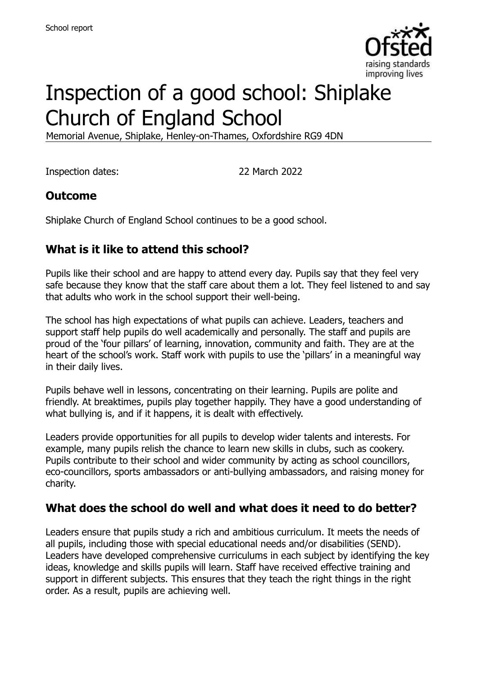

# Inspection of a good school: Shiplake Church of England School

Memorial Avenue, Shiplake, Henley-on-Thames, Oxfordshire RG9 4DN

Inspection dates: 22 March 2022

### **Outcome**

Shiplake Church of England School continues to be a good school.

# **What is it like to attend this school?**

Pupils like their school and are happy to attend every day. Pupils say that they feel very safe because they know that the staff care about them a lot. They feel listened to and say that adults who work in the school support their well-being.

The school has high expectations of what pupils can achieve. Leaders, teachers and support staff help pupils do well academically and personally. The staff and pupils are proud of the 'four pillars' of learning, innovation, community and faith. They are at the heart of the school's work. Staff work with pupils to use the 'pillars' in a meaningful way in their daily lives.

Pupils behave well in lessons, concentrating on their learning. Pupils are polite and friendly. At breaktimes, pupils play together happily. They have a good understanding of what bullying is, and if it happens, it is dealt with effectively.

Leaders provide opportunities for all pupils to develop wider talents and interests. For example, many pupils relish the chance to learn new skills in clubs, such as cookery. Pupils contribute to their school and wider community by acting as school councillors, eco-councillors, sports ambassadors or anti-bullying ambassadors, and raising money for charity.

#### **What does the school do well and what does it need to do better?**

Leaders ensure that pupils study a rich and ambitious curriculum. It meets the needs of all pupils, including those with special educational needs and/or disabilities (SEND). Leaders have developed comprehensive curriculums in each subject by identifying the key ideas, knowledge and skills pupils will learn. Staff have received effective training and support in different subjects. This ensures that they teach the right things in the right order. As a result, pupils are achieving well.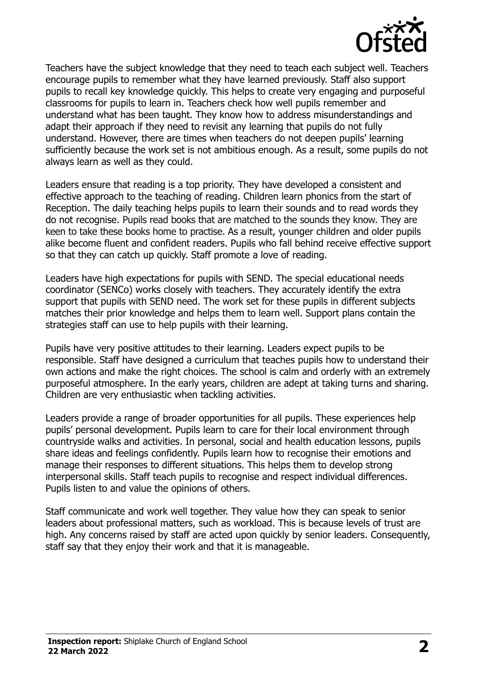

Teachers have the subject knowledge that they need to teach each subject well. Teachers encourage pupils to remember what they have learned previously. Staff also support pupils to recall key knowledge quickly. This helps to create very engaging and purposeful classrooms for pupils to learn in. Teachers check how well pupils remember and understand what has been taught. They know how to address misunderstandings and adapt their approach if they need to revisit any learning that pupils do not fully understand. However, there are times when teachers do not deepen pupils' learning sufficiently because the work set is not ambitious enough. As a result, some pupils do not always learn as well as they could.

Leaders ensure that reading is a top priority. They have developed a consistent and effective approach to the teaching of reading. Children learn phonics from the start of Reception. The daily teaching helps pupils to learn their sounds and to read words they do not recognise. Pupils read books that are matched to the sounds they know. They are keen to take these books home to practise. As a result, younger children and older pupils alike become fluent and confident readers. Pupils who fall behind receive effective support so that they can catch up quickly. Staff promote a love of reading.

Leaders have high expectations for pupils with SEND. The special educational needs coordinator (SENCo) works closely with teachers. They accurately identify the extra support that pupils with SEND need. The work set for these pupils in different subjects matches their prior knowledge and helps them to learn well. Support plans contain the strategies staff can use to help pupils with their learning.

Pupils have very positive attitudes to their learning. Leaders expect pupils to be responsible. Staff have designed a curriculum that teaches pupils how to understand their own actions and make the right choices. The school is calm and orderly with an extremely purposeful atmosphere. In the early years, children are adept at taking turns and sharing. Children are very enthusiastic when tackling activities.

Leaders provide a range of broader opportunities for all pupils. These experiences help pupils' personal development. Pupils learn to care for their local environment through countryside walks and activities. In personal, social and health education lessons, pupils share ideas and feelings confidently. Pupils learn how to recognise their emotions and manage their responses to different situations. This helps them to develop strong interpersonal skills. Staff teach pupils to recognise and respect individual differences. Pupils listen to and value the opinions of others.

Staff communicate and work well together. They value how they can speak to senior leaders about professional matters, such as workload. This is because levels of trust are high. Any concerns raised by staff are acted upon quickly by senior leaders. Consequently, staff say that they enjoy their work and that it is manageable.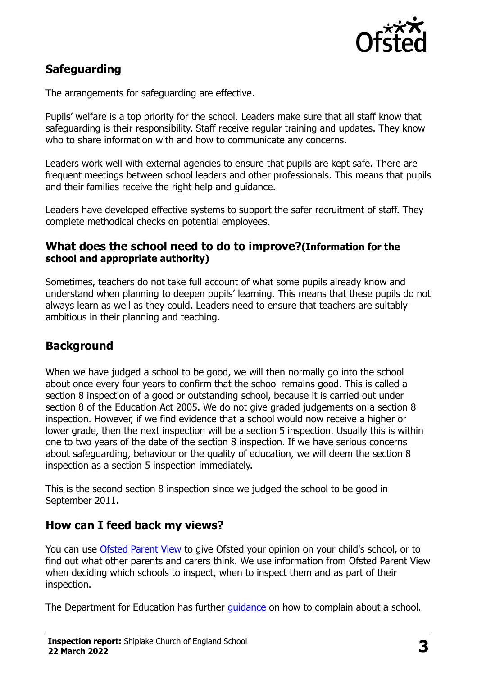

# **Safeguarding**

The arrangements for safeguarding are effective.

Pupils' welfare is a top priority for the school. Leaders make sure that all staff know that safeguarding is their responsibility. Staff receive regular training and updates. They know who to share information with and how to communicate any concerns.

Leaders work well with external agencies to ensure that pupils are kept safe. There are frequent meetings between school leaders and other professionals. This means that pupils and their families receive the right help and guidance.

Leaders have developed effective systems to support the safer recruitment of staff. They complete methodical checks on potential employees.

#### **What does the school need to do to improve?(Information for the school and appropriate authority)**

Sometimes, teachers do not take full account of what some pupils already know and understand when planning to deepen pupils' learning. This means that these pupils do not always learn as well as they could. Leaders need to ensure that teachers are suitably ambitious in their planning and teaching.

# **Background**

When we have judged a school to be good, we will then normally go into the school about once every four years to confirm that the school remains good. This is called a section 8 inspection of a good or outstanding school, because it is carried out under section 8 of the Education Act 2005. We do not give graded judgements on a section 8 inspection. However, if we find evidence that a school would now receive a higher or lower grade, then the next inspection will be a section 5 inspection. Usually this is within one to two years of the date of the section 8 inspection. If we have serious concerns about safeguarding, behaviour or the quality of education, we will deem the section 8 inspection as a section 5 inspection immediately.

This is the second section 8 inspection since we judged the school to be good in September 2011.

### **How can I feed back my views?**

You can use [Ofsted Parent View](https://parentview.ofsted.gov.uk/) to give Ofsted your opinion on your child's school, or to find out what other parents and carers think. We use information from Ofsted Parent View when deciding which schools to inspect, when to inspect them and as part of their inspection.

The Department for Education has further quidance on how to complain about a school.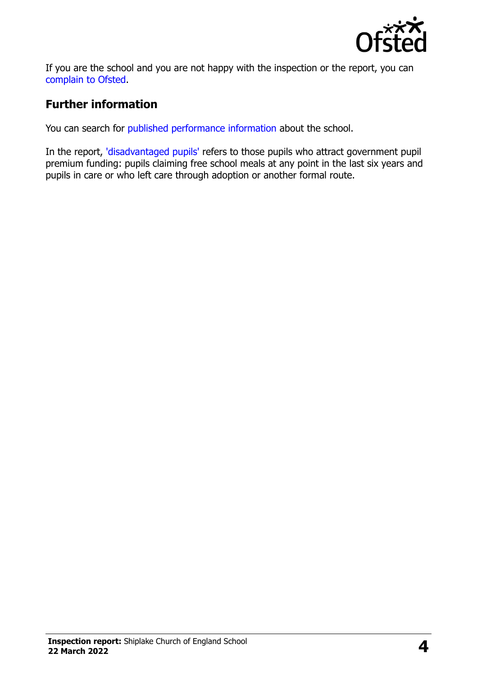

If you are the school and you are not happy with the inspection or the report, you can [complain to Ofsted.](https://www.gov.uk/complain-ofsted-report)

# **Further information**

You can search for [published performance information](http://www.compare-school-performance.service.gov.uk/) about the school.

In the report, ['disadvantaged pupils'](http://www.gov.uk/guidance/pupil-premium-information-for-schools-and-alternative-provision-settings) refers to those pupils who attract government pupil premium funding: pupils claiming free school meals at any point in the last six years and pupils in care or who left care through adoption or another formal route.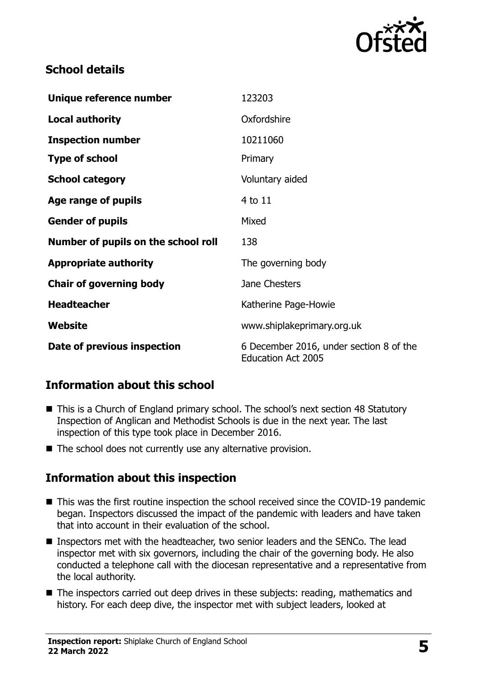

# **School details**

| Unique reference number             | 123203                                                               |
|-------------------------------------|----------------------------------------------------------------------|
| <b>Local authority</b>              | Oxfordshire                                                          |
| <b>Inspection number</b>            | 10211060                                                             |
| <b>Type of school</b>               | Primary                                                              |
| <b>School category</b>              | Voluntary aided                                                      |
| Age range of pupils                 | 4 to 11                                                              |
| <b>Gender of pupils</b>             | Mixed                                                                |
| Number of pupils on the school roll | 138                                                                  |
| <b>Appropriate authority</b>        | The governing body                                                   |
| <b>Chair of governing body</b>      | Jane Chesters                                                        |
| <b>Headteacher</b>                  | Katherine Page-Howie                                                 |
| Website                             | www.shiplakeprimary.org.uk                                           |
| Date of previous inspection         | 6 December 2016, under section 8 of the<br><b>Education Act 2005</b> |

# **Information about this school**

- This is a Church of England primary school. The school's next section 48 Statutory Inspection of Anglican and Methodist Schools is due in the next year. The last inspection of this type took place in December 2016.
- The school does not currently use any alternative provision.

# **Information about this inspection**

- This was the first routine inspection the school received since the COVID-19 pandemic began. Inspectors discussed the impact of the pandemic with leaders and have taken that into account in their evaluation of the school.
- Inspectors met with the headteacher, two senior leaders and the SENCo. The lead inspector met with six governors, including the chair of the governing body. He also conducted a telephone call with the diocesan representative and a representative from the local authority.
- The inspectors carried out deep drives in these subjects: reading, mathematics and history. For each deep dive, the inspector met with subject leaders, looked at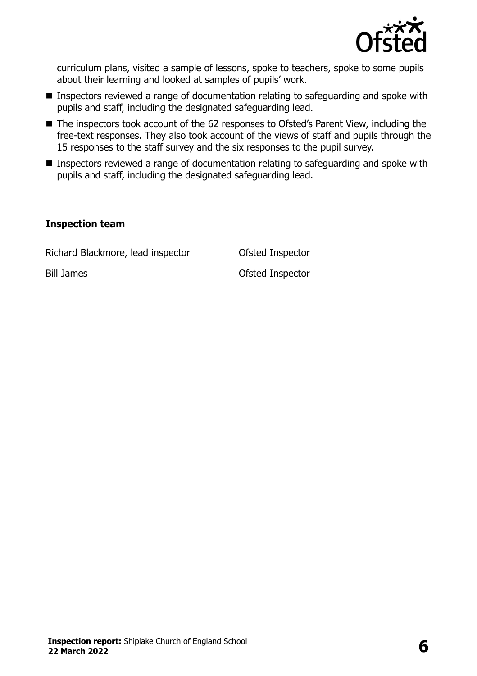

curriculum plans, visited a sample of lessons, spoke to teachers, spoke to some pupils about their learning and looked at samples of pupils' work.

- Inspectors reviewed a range of documentation relating to safeguarding and spoke with pupils and staff, including the designated safeguarding lead.
- The inspectors took account of the 62 responses to Ofsted's Parent View, including the free-text responses. They also took account of the views of staff and pupils through the 15 responses to the staff survey and the six responses to the pupil survey.
- **Inspectors reviewed a range of documentation relating to safeguarding and spoke with** pupils and staff, including the designated safeguarding lead.

#### **Inspection team**

Richard Blackmore, lead inspector Ofsted Inspector

Bill James **Discriming Contract Contract Contract Contract Contract Contract Contract Contract Contract Contract Contract Contract Contract Contract Contract Contract Contract Contract Contract Contract Contract Contract C**